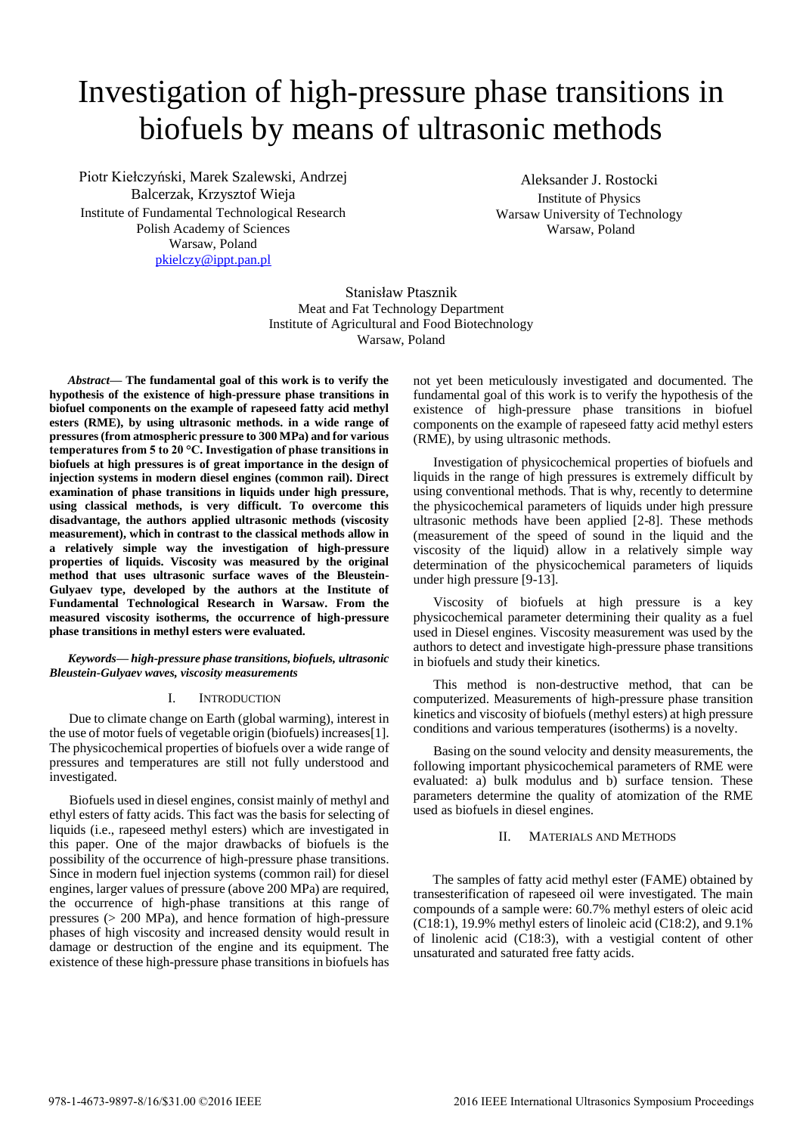# Investigation of high-pressure phase transitions in biofuels by means of ultrasonic methods

Piotr Kiełczyński, Marek Szalewski, Andrzej Balcerzak, Krzysztof Wieja Institute of Fundamental Technological Research Polish Academy of Sciences Warsaw, Poland [pkielczy@ippt.pan.pl](mailto:pkielczy@ippt.pan.pl)

Aleksander J. Rostocki Institute of Physics Warsaw University of Technology Warsaw, Poland

Stanisław Ptasznik Meat and Fat Technology Department Institute of Agricultural and Food Biotechnology Warsaw, Poland

*Abstract***— The fundamental goal of this work is to verify the hypothesis of the existence of high-pressure phase transitions in biofuel components on the example of rapeseed fatty acid methyl esters (RME), by using ultrasonic methods. in a wide range of pressures (from atmospheric pressure to 300 MPa) and for various temperatures from 5 to 20 °C. Investigation of phase transitions in biofuels at high pressures is of great importance in the design of injection systems in modern diesel engines (common rail). Direct examination of phase transitions in liquids under high pressure, using classical methods, is very difficult. To overcome this disadvantage, the authors applied ultrasonic methods (viscosity measurement), which in contrast to the classical methods allow in a relatively simple way the investigation of high-pressure properties of liquids. Viscosity was measured by the original method that uses ultrasonic surface waves of the Bleustein-Gulyaev type, developed by the authors at the Institute of Fundamental Technological Research in Warsaw. From the measured viscosity isotherms, the occurrence of high-pressure phase transitions in methyl esters were evaluated.** 

### *Keywords— high-pressure phase transitions, biofuels, ultrasonic Bleustein-Gulyaev waves, viscosity measurements*

## I. INTRODUCTION

Due to climate change on Earth (global warming), interest in the use of motor fuels of vegetable origin (biofuels) increases[1]. The physicochemical properties of biofuels over a wide range of pressures and temperatures are still not fully understood and investigated.

 Biofuels used in diesel engines, consist mainly of methyl and ethyl esters of fatty acids. This fact was the basis for selecting of liquids (i.e., rapeseed methyl esters) which are investigated in this paper. One of the major drawbacks of biofuels is the possibility of the occurrence of high-pressure phase transitions. Since in modern fuel injection systems (common rail) for diesel engines, larger values of pressure (above 200 MPa) are required, the occurrence of high-phase transitions at this range of pressures (> 200 MPa), and hence formation of high-pressure phases of high viscosity and increased density would result in damage or destruction of the engine and its equipment. The existence of these high-pressure phase transitions in biofuels has

not yet been meticulously investigated and documented. The fundamental goal of this work is to verify the hypothesis of the existence of high-pressure phase transitions in biofuel components on the example of rapeseed fatty acid methyl esters (RME), by using ultrasonic methods.

 Investigation of physicochemical properties of biofuels and liquids in the range of high pressures is extremely difficult by using conventional methods. That is why, recently to determine the physicochemical parameters of liquids under high pressure ultrasonic methods have been applied [2-8]. These methods (measurement of the speed of sound in the liquid and the viscosity of the liquid) allow in a relatively simple way determination of the physicochemical parameters of liquids under high pressure [9-13].

 Viscosity of biofuels at high pressure is a key physicochemical parameter determining their quality as a fuel used in Diesel engines. Viscosity measurement was used by the authors to detect and investigate high-pressure phase transitions in biofuels and study their kinetics.

 This method is non-destructive method, that can be computerized. Measurements of high-pressure phase transition kinetics and viscosity of biofuels (methyl esters) at high pressure conditions and various temperatures (isotherms) is a novelty.

 Basing on the sound velocity and density measurements, the following important physicochemical parameters of RME were evaluated: a) bulk modulus and b) surface tension. These parameters determine the quality of atomization of the RME used as biofuels in diesel engines.

## II. MATERIALS AND METHODS

The samples of fatty acid methyl ester (FAME) obtained by transesterification of rapeseed oil were investigated. The main compounds of a sample were: 60.7% methyl esters of oleic acid (C18:1), 19.9% methyl esters of linoleic acid (C18:2), and 9.1% of linolenic acid (C18:3), with a vestigial content of other unsaturated and saturated free fatty acids.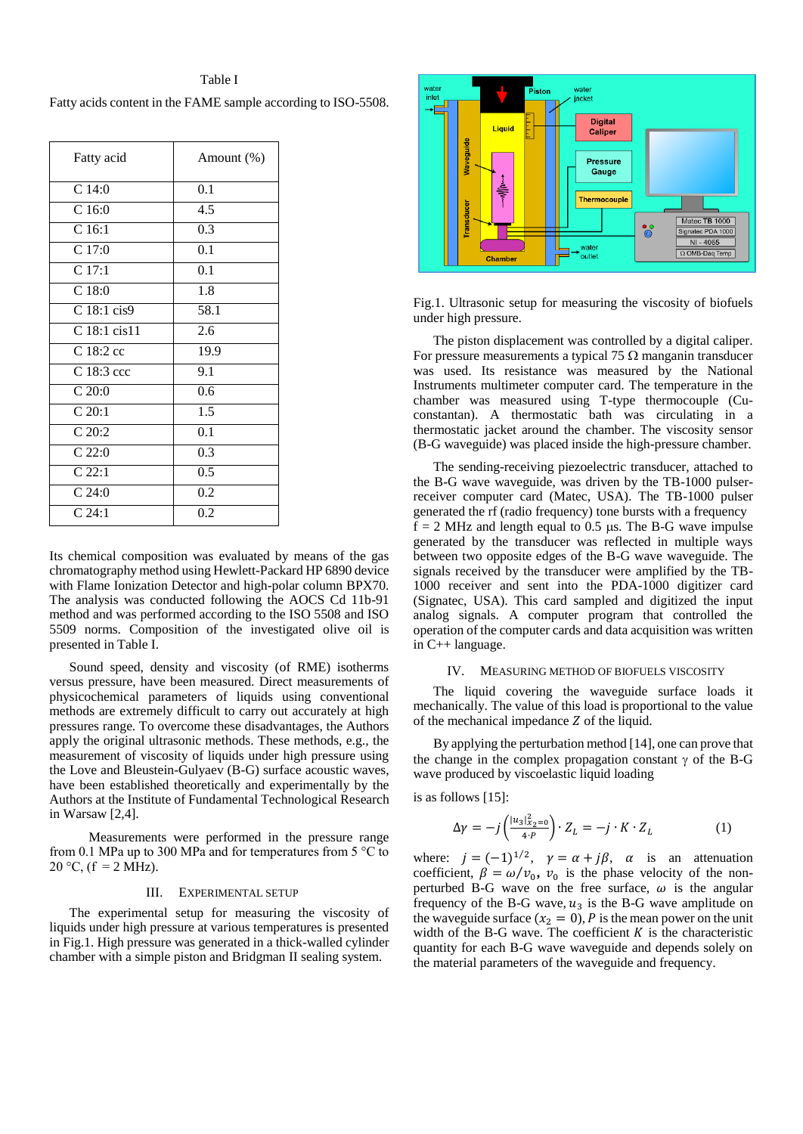Table I Fatty acids content in the FAME sample according to ISO-5508.

| Fatty acid        | Amount (%)       |
|-------------------|------------------|
| C <sub>14:0</sub> | 0.1              |
| C16:0             | 4.5              |
| C <sub>16:1</sub> | 0.3              |
| C17:0             | 0.1              |
| C 17:1            | $0.\overline{1}$ |
| C18:0             | 1.8              |
| C 18:1 cis9       | 58.1             |
| $C$ 18:1 cis11    | 2.6              |
| $C18:2$ cc        | 19.9             |
| C 18:3 ccc        | 9.1              |
| C20:0             | 0.6              |
| C 20:1            | 1.5              |
| C 20:2            | $0.\overline{1}$ |
| C22:0             | 0.3              |
| C22:1             | 0.5              |
| C24:0             | $0.\overline{2}$ |
| $C_24:1$          | 0.2              |

Its chemical composition was evaluated by means of the gas chromatography method using Hewlett-Packard HP 6890 device with Flame Ionization Detector and high-polar column BPX70. The analysis was conducted following the AOCS Cd 11b-91 method and was performed according to the ISO 5508 and ISO 5509 norms. Composition of the investigated olive oil is presented in Table I.

 Sound speed, density and viscosity (of RME) isotherms versus pressure, have been measured. Direct measurements of physicochemical parameters of liquids using conventional methods are extremely difficult to carry out accurately at high pressures range. To overcome these disadvantages, the Authors apply the original ultrasonic methods. These methods, e.g., the measurement of viscosity of liquids under high pressure using the Love and Bleustein-Gulyaev (B-G) surface acoustic waves, have been established theoretically and experimentally by the Authors at the Institute of Fundamental Technological Research in Warsaw [2,4].

 Measurements were performed in the pressure range from 0.1 MPa up to 300 MPa and for temperatures from 5 °C to 20 °C, ( $f = 2$  MHz).

#### III. EXPERIMENTAL SETUP

 The experimental setup for measuring the viscosity of liquids under high pressure at various temperatures is presented in Fig.1. High pressure was generated in a thick-walled cylinder chamber with a simple piston and Bridgman II sealing system.



Fig.1. Ultrasonic setup for measuring the viscosity of biofuels under high pressure.

 The piston displacement was controlled by a digital caliper. For pressure measurements a typical 75  $\Omega$  manganin transducer was used. Its resistance was measured by the National Instruments multimeter computer card. The temperature in the chamber was measured using T-type thermocouple (Cuconstantan). A thermostatic bath was circulating in a thermostatic jacket around the chamber. The viscosity sensor (B-G waveguide) was placed inside the high-pressure chamber.

 The sending-receiving piezoelectric transducer, attached to the B-G wave waveguide, was driven by the TB-1000 pulserreceiver computer card (Matec, USA). The TB-1000 pulser generated the rf (radio frequency) tone bursts with a frequency  $f = 2$  MHz and length equal to 0.5 µs. The B-G wave impulse generated by the transducer was reflected in multiple ways between two opposite edges of the B-G wave waveguide. The signals received by the transducer were amplified by the TB-1000 receiver and sent into the PDA-1000 digitizer card (Signatec, USA). This card sampled and digitized the input analog signals. A computer program that controlled the operation of the computer cards and data acquisition was written in C++ language.

#### IV. MEASURING METHOD OF BIOFUELS VISCOSITY

The liquid covering the waveguide surface loads it mechanically. The value of this load is proportional to the value of the mechanical impedance  $Z$  of the liquid.

 By applying the perturbation method [14], one can prove that the change in the complex propagation constant  $\gamma$  of the B-G wave produced by viscoelastic liquid loading

is as follows [15]:

$$
\Delta \gamma = -j \left( \frac{|u_3|_{x_2=0}^2}{4 \cdot P} \right) \cdot Z_L = -j \cdot K \cdot Z_L \tag{1}
$$

where:  $j = (-1)^{1/2}$ ,  $\gamma = \alpha + j\beta$ ,  $\alpha$  is an attenuation coefficient,  $\beta = \omega/v_0$ ,  $v_0$  is the phase velocity of the nonperturbed B-G wave on the free surface,  $\omega$  is the angular frequency of the B-G wave,  $u_3$  is the B-G wave amplitude on the waveguide surface  $(x_2 = 0)$ , P is the mean power on the unit width of the B-G wave. The coefficient  $K$  is the characteristic quantity for each B-G wave waveguide and depends solely on the material parameters of the waveguide and frequency.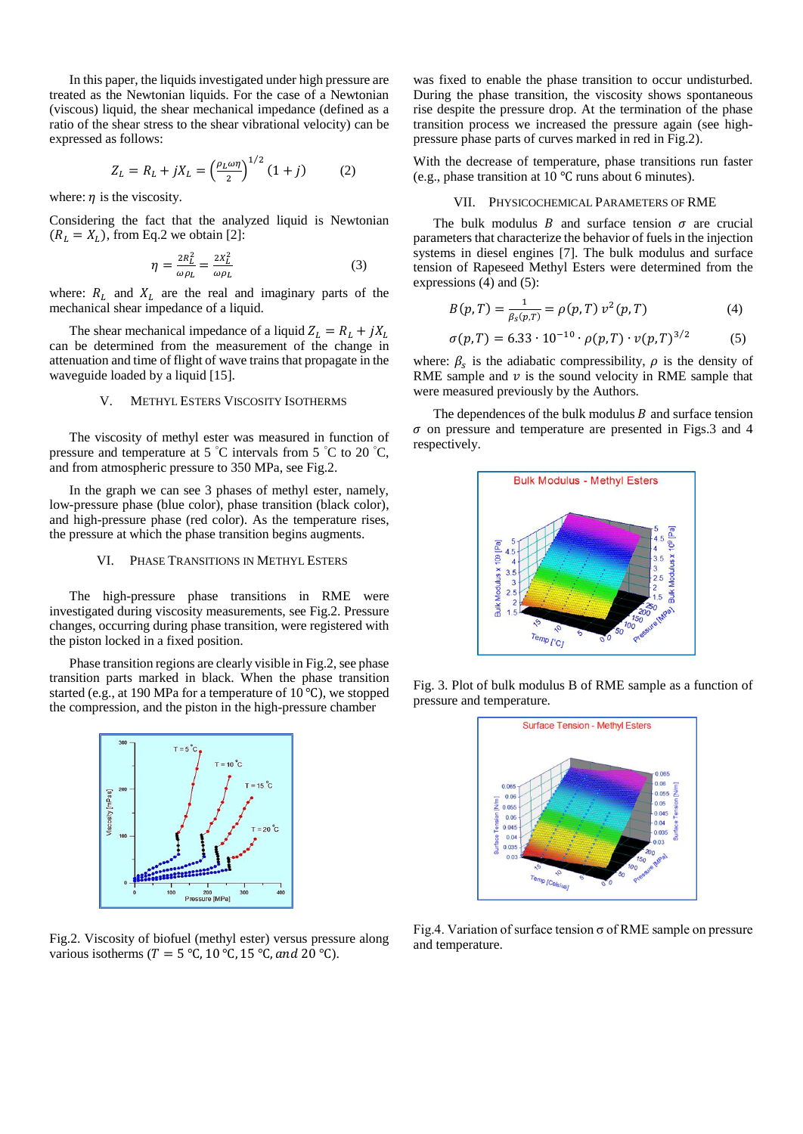In this paper, the liquids investigated under high pressure are treated as the Newtonian liquids. For the case of a Newtonian (viscous) liquid, the shear mechanical impedance (defined as a ratio of the shear stress to the shear vibrational velocity) can be expressed as follows:

$$
Z_L = R_L + jX_L = \left(\frac{\rho_L \omega \eta}{2}\right)^{1/2} (1+j) \tag{2}
$$

where:  $\eta$  is the viscosity.

Considering the fact that the analyzed liquid is Newtonian  $(R_L = X_L)$ , from Eq.2 we obtain [2]:

$$
\eta = \frac{2R_L^2}{\omega \rho_L} = \frac{2X_L^2}{\omega \rho_L} \tag{3}
$$

where:  $R_L$  and  $X_L$  are the real and imaginary parts of the mechanical shear impedance of a liquid.

The shear mechanical impedance of a liquid  $Z_L = R_L + jX_L$ can be determined from the measurement of the change in attenuation and time of flight of wave trains that propagate in the waveguide loaded by a liquid [15].

## V. METHYL ESTERS VISCOSITY ISOTHERMS

 The viscosity of methyl ester was measured in function of pressure and temperature at 5  $\degree$ C intervals from 5  $\degree$ C to 20  $\degree$ C, and from atmospheric pressure to 350 MPa, see Fig.2.

 In the graph we can see 3 phases of methyl ester, namely, low-pressure phase (blue color), phase transition (black color), and high-pressure phase (red color). As the temperature rises, the pressure at which the phase transition begins augments.

## VI. PHASE TRANSITIONS IN METHYL ESTERS

 The high-pressure phase transitions in RME were investigated during viscosity measurements, see Fig.2. Pressure changes, occurring during phase transition, were registered with the piston locked in a fixed position.

 Phase transition regions are clearly visible in Fig.2, see phase transition parts marked in black. When the phase transition started (e.g., at 190 MPa for a temperature of 10 ℃), we stopped the compression, and the piston in the high-pressure chamber



Fig.2. Viscosity of biofuel (methyl ester) versus pressure along various isotherms ( $T = 5$  °C, 10 °C, 15 °C, and 20 °C).

was fixed to enable the phase transition to occur undisturbed. During the phase transition, the viscosity shows spontaneous rise despite the pressure drop. At the termination of the phase transition process we increased the pressure again (see highpressure phase parts of curves marked in red in Fig.2).

With the decrease of temperature, phase transitions run faster (e.g., phase transition at 10 ℃ runs about 6 minutes).

#### VII. PHYSICOCHEMICAL PARAMETERS OF RME

The bulk modulus B and surface tension  $\sigma$  are crucial parameters that characterize the behavior of fuels in the injection systems in diesel engines [7]. The bulk modulus and surface tension of Rapeseed Methyl Esters were determined from the expressions (4) and (5):

$$
B(p,T) = \frac{1}{\beta_S(p,T)} = \rho(p,T) v^2(p,T)
$$
 (4)

$$
\sigma(p,T) = 6.33 \cdot 10^{-10} \cdot \rho(p,T) \cdot \nu(p,T)^{3/2} \tag{5}
$$

where:  $\beta_s$  is the adiabatic compressibility,  $\rho$  is the density of RME sample and  $\nu$  is the sound velocity in RME sample that were measured previously by the Authors.

The dependences of the bulk modulus  $B$  and surface tension  $\sigma$  on pressure and temperature are presented in Figs. 3 and 4 respectively.



Fig. 3. Plot of bulk modulus B of RME sample as a function of pressure and temperature.



Fig.4. Variation of surface tension  $\sigma$  of RME sample on pressure and temperature.